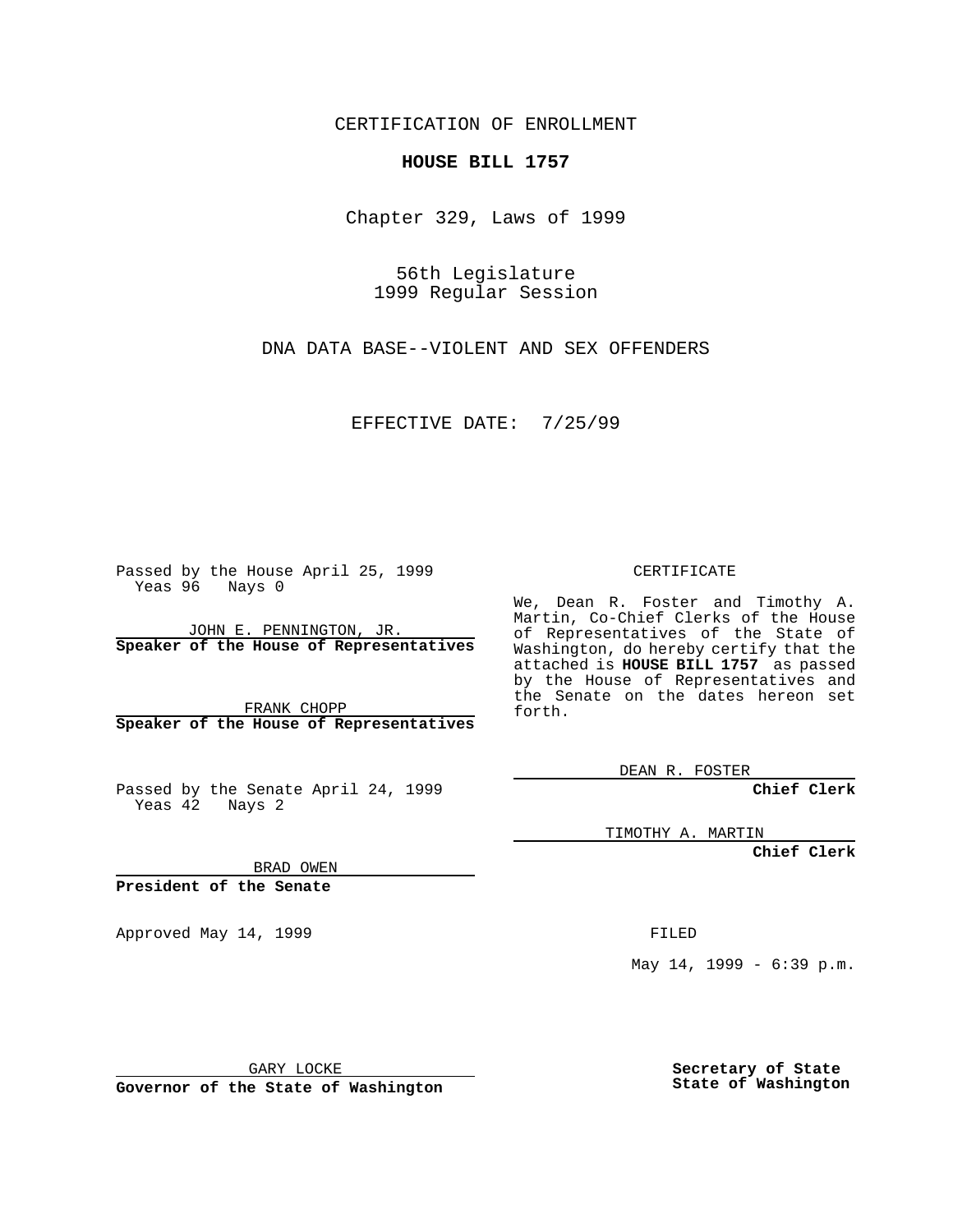CERTIFICATION OF ENROLLMENT

## **HOUSE BILL 1757**

Chapter 329, Laws of 1999

56th Legislature 1999 Regular Session

DNA DATA BASE--VIOLENT AND SEX OFFENDERS

EFFECTIVE DATE: 7/25/99

Passed by the House April 25, 1999 Yeas 96 Nays 0

JOHN E. PENNINGTON, JR. **Speaker of the House of Representatives**

FRANK CHOPP **Speaker of the House of Representatives**

Passed by the Senate April 24, 1999 Yeas 42 Nays 2

CERTIFICATE

We, Dean R. Foster and Timothy A. Martin, Co-Chief Clerks of the House of Representatives of the State of Washington, do hereby certify that the attached is **HOUSE BILL 1757** as passed by the House of Representatives and the Senate on the dates hereon set forth.

DEAN R. FOSTER

**Chief Clerk**

TIMOTHY A. MARTIN

**Chief Clerk**

BRAD OWEN

**President of the Senate**

Approved May 14, 1999 **FILED** 

May 14, 1999 - 6:39 p.m.

GARY LOCKE

**Governor of the State of Washington**

**Secretary of State State of Washington**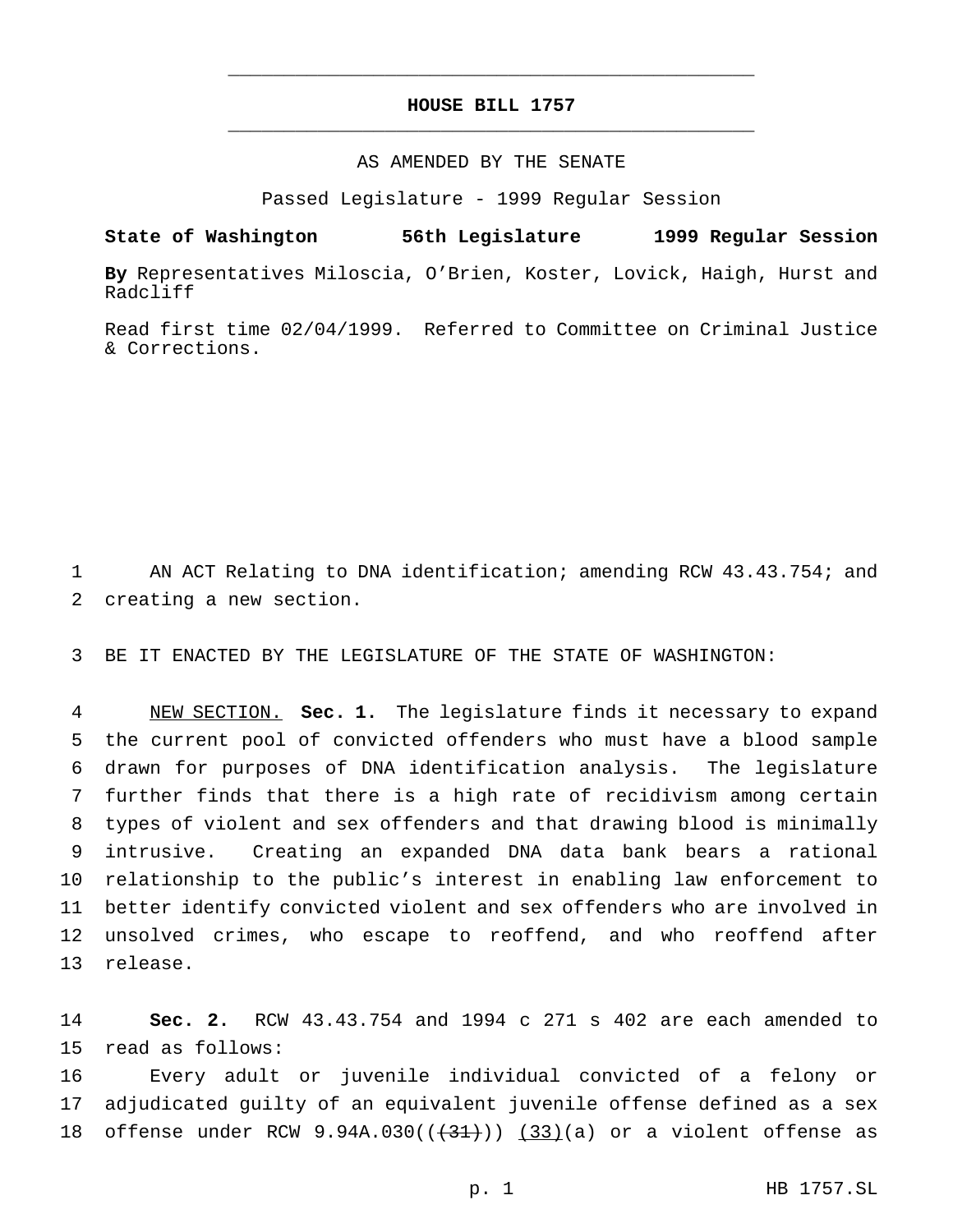## **HOUSE BILL 1757** \_\_\_\_\_\_\_\_\_\_\_\_\_\_\_\_\_\_\_\_\_\_\_\_\_\_\_\_\_\_\_\_\_\_\_\_\_\_\_\_\_\_\_\_\_\_\_

\_\_\_\_\_\_\_\_\_\_\_\_\_\_\_\_\_\_\_\_\_\_\_\_\_\_\_\_\_\_\_\_\_\_\_\_\_\_\_\_\_\_\_\_\_\_\_

## AS AMENDED BY THE SENATE

Passed Legislature - 1999 Regular Session

**State of Washington 56th Legislature 1999 Regular Session**

**By** Representatives Miloscia, O'Brien, Koster, Lovick, Haigh, Hurst and Radcliff

Read first time 02/04/1999. Referred to Committee on Criminal Justice & Corrections.

1 AN ACT Relating to DNA identification; amending RCW 43.43.754; and 2 creating a new section.

3 BE IT ENACTED BY THE LEGISLATURE OF THE STATE OF WASHINGTON:

 NEW SECTION. **Sec. 1.** The legislature finds it necessary to expand the current pool of convicted offenders who must have a blood sample drawn for purposes of DNA identification analysis. The legislature further finds that there is a high rate of recidivism among certain types of violent and sex offenders and that drawing blood is minimally intrusive. Creating an expanded DNA data bank bears a rational relationship to the public's interest in enabling law enforcement to better identify convicted violent and sex offenders who are involved in unsolved crimes, who escape to reoffend, and who reoffend after 13 release.

14 **Sec. 2.** RCW 43.43.754 and 1994 c 271 s 402 are each amended to 15 read as follows:

16 Every adult or juvenile individual convicted of a felony or 17 adjudicated guilty of an equivalent juvenile offense defined as a sex 18 offense under RCW  $9.94A.030((+31))$   $(33)(a)$  or a violent offense as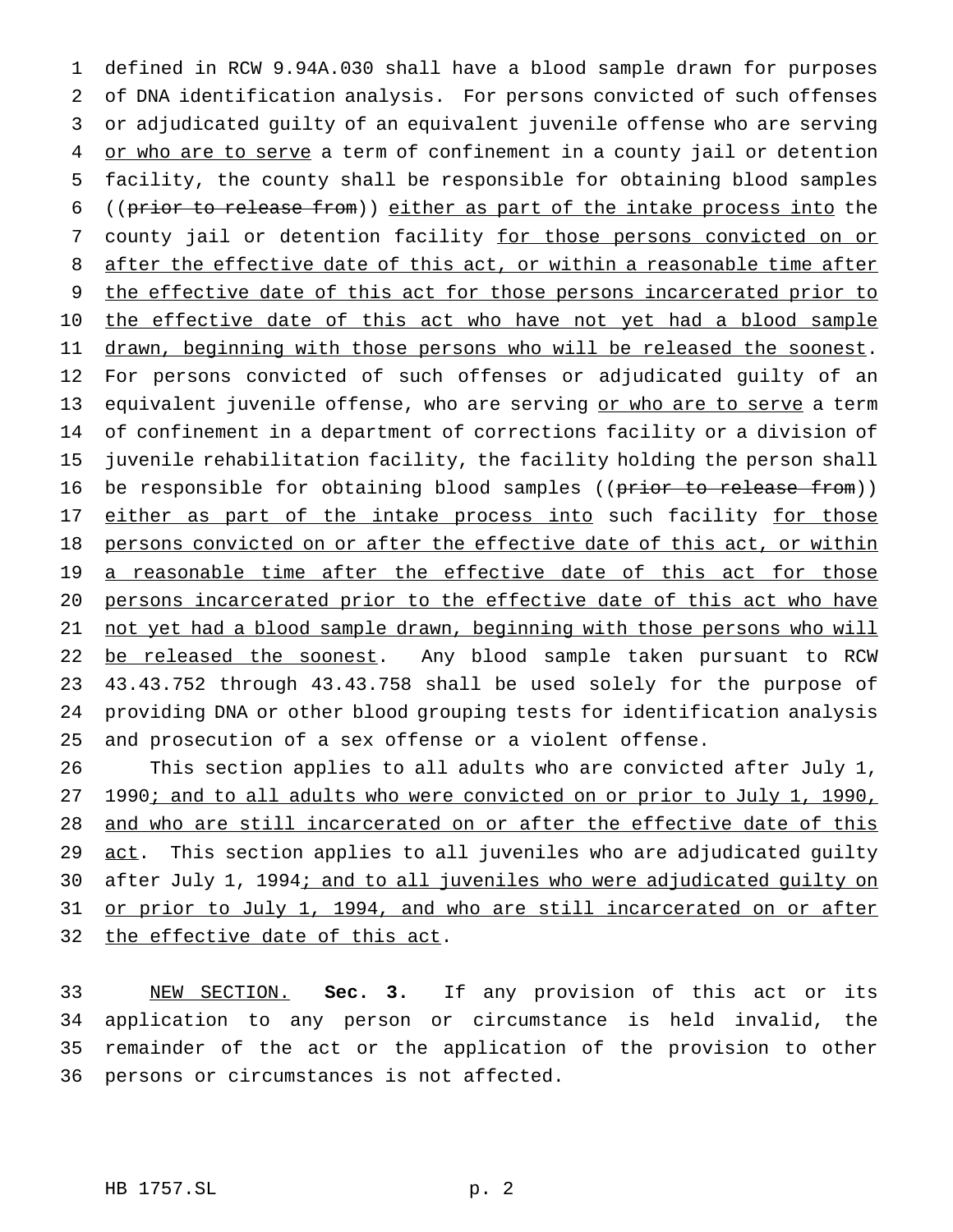1 defined in RCW 9.94A.030 shall have a blood sample drawn for purposes 2 of DNA identification analysis. For persons convicted of such offenses 3 or adjudicated guilty of an equivalent juvenile offense who are serving 4 or who are to serve a term of confinement in a county jail or detention 5 facility, the county shall be responsible for obtaining blood samples 6 ((prior to release from)) either as part of the intake process into the 7 county jail or detention facility for those persons convicted on or 8 after the effective date of this act, or within a reasonable time after 9 the effective date of this act for those persons incarcerated prior to 10 the effective date of this act who have not yet had a blood sample 11 drawn, beginning with those persons who will be released the soonest. 12 For persons convicted of such offenses or adjudicated guilty of an 13 equivalent juvenile offense, who are serving or who are to serve a term 14 of confinement in a department of corrections facility or a division of 15 juvenile rehabilitation facility, the facility holding the person shall 16 be responsible for obtaining blood samples ((prior to release from)) 17 either as part of the intake process into such facility for those 18 persons convicted on or after the effective date of this act, or within 19 a reasonable time after the effective date of this act for those 20 persons incarcerated prior to the effective date of this act who have 21 not yet had a blood sample drawn, beginning with those persons who will 22 be released the soonest. Any blood sample taken pursuant to RCW 23 43.43.752 through 43.43.758 shall be used solely for the purpose of 24 providing DNA or other blood grouping tests for identification analysis 25 and prosecution of a sex offense or a violent offense.

26 This section applies to all adults who are convicted after July 1, 27 1990; and to all adults who were convicted on or prior to July 1, 1990, 28 and who are still incarcerated on or after the effective date of this 29 act. This section applies to all juveniles who are adjudicated guilty 30 after July 1, 1994; and to all juveniles who were adjudicated guilty on 31 or prior to July 1, 1994, and who are still incarcerated on or after 32 the effective date of this act.

 NEW SECTION. **Sec. 3.** If any provision of this act or its application to any person or circumstance is held invalid, the remainder of the act or the application of the provision to other persons or circumstances is not affected.